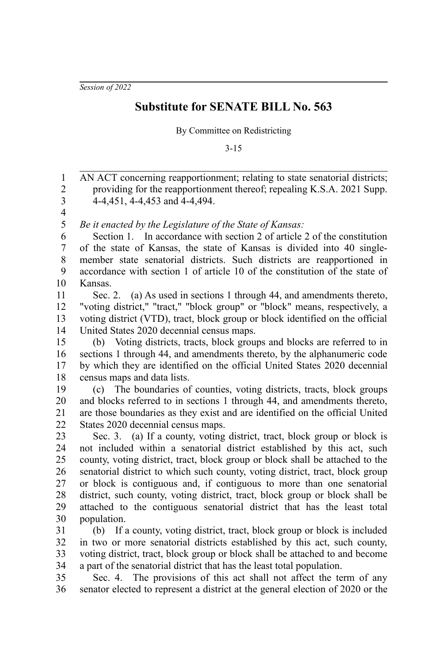*Session of 2022*

## **Substitute for SENATE BILL No. 563**

By Committee on Redistricting

3-15

AN ACT concerning reapportionment; relating to state senatorial districts; providing for the reapportionment thereof; repealing K.S.A. 2021 Supp. 4-4,451, 4-4,453 and 4-4,494. 1 2 3

4 5

*Be it enacted by the Legislature of the State of Kansas:*

Section 1. In accordance with section 2 of article 2 of the constitution of the state of Kansas, the state of Kansas is divided into 40 singlemember state senatorial districts. Such districts are reapportioned in accordance with section 1 of article 10 of the constitution of the state of Kansas. 6 7 8 9 10

Sec. 2. (a) As used in sections 1 through 44, and amendments thereto, "voting district," "tract," "block group" or "block" means, respectively, a voting district (VTD), tract, block group or block identified on the official United States 2020 decennial census maps. 11 12 13 14

(b) Voting districts, tracts, block groups and blocks are referred to in sections 1 through 44, and amendments thereto, by the alphanumeric code by which they are identified on the official United States 2020 decennial census maps and data lists. 15 16 17 18

(c) The boundaries of counties, voting districts, tracts, block groups and blocks referred to in sections 1 through 44, and amendments thereto, are those boundaries as they exist and are identified on the official United States 2020 decennial census maps. 19 20 21 22

Sec. 3. (a) If a county, voting district, tract, block group or block is not included within a senatorial district established by this act, such county, voting district, tract, block group or block shall be attached to the senatorial district to which such county, voting district, tract, block group or block is contiguous and, if contiguous to more than one senatorial district, such county, voting district, tract, block group or block shall be attached to the contiguous senatorial district that has the least total population. 23 24 25 26 27 28 29 30

(b) If a county, voting district, tract, block group or block is included in two or more senatorial districts established by this act, such county, voting district, tract, block group or block shall be attached to and become a part of the senatorial district that has the least total population. 31 32 33 34

Sec. 4. The provisions of this act shall not affect the term of any senator elected to represent a district at the general election of 2020 or the 35 36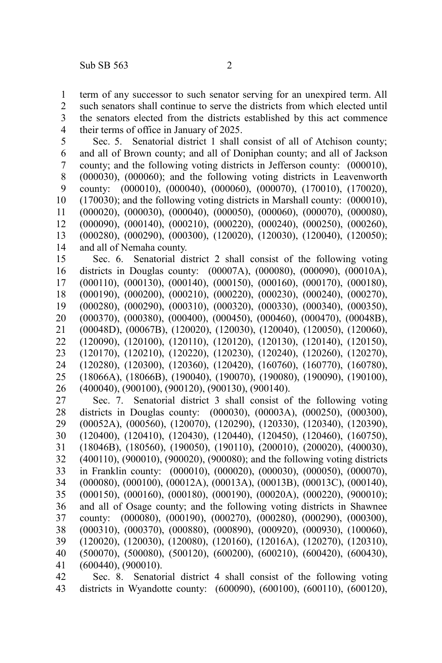term of any successor to such senator serving for an unexpired term. All such senators shall continue to serve the districts from which elected until the senators elected from the districts established by this act commence their terms of office in January of 2025. 1 2 3 4

Sec. 5. Senatorial district 1 shall consist of all of Atchison county; and all of Brown county; and all of Doniphan county; and all of Jackson county; and the following voting districts in Jefferson county: (000010), (000030), (000060); and the following voting districts in Leavenworth county: (000010), (000040), (000060), (000070), (170010), (170020), (170030); and the following voting districts in Marshall county: (000010), (000020), (000030), (000040), (000050), (000060), (000070), (000080), (000090), (000140), (000210), (000220), (000240), (000250), (000260), (000280), (000290), (000300), (120020), (120030), (120040), (120050); and all of Nemaha county. 5 6 7 8 9 10 11 12 13 14

Sec. 6. Senatorial district 2 shall consist of the following voting districts in Douglas county: (00007A), (000080), (000090), (00010A), (000110), (000130), (000140), (000150), (000160), (000170), (000180), (000190), (000200), (000210), (000220), (000230), (000240), (000270), (000280), (000290), (000310), (000320), (000330), (000340), (000350), (000370), (000380), (000400), (000450), (000460), (000470), (00048B), (00048D), (00067B), (120020), (120030), (120040), (120050), (120060), (120090), (120100), (120110), (120120), (120130), (120140), (120150), (120170), (120210), (120220), (120230), (120240), (120260), (120270), (120280), (120300), (120360), (120420), (160760), (160770), (160780), (18066A), (18066B), (190040), (190070), (190080), (190090), (190100), (400040), (900100), (900120), (900130), (900140). 15 16 17 18 19 20 21 22 23 24 25 26

Sec. 7. Senatorial district 3 shall consist of the following voting districts in Douglas county: (000030), (00003A), (000250), (000300), (00052A), (000560), (120070), (120290), (120330), (120340), (120390), (120400), (120410), (120430), (120440), (120450), (120460), (160750), (18046B), (180560), (190050), (190110), (200010), (200020), (400030), (400110), (900010), (900020), (900080); and the following voting districts in Franklin county: (000010), (000020), (000030), (000050), (000070), (000080), (000100), (00012A), (00013A), (00013B), (00013C), (000140), (000150), (000160), (000180), (000190), (00020A), (000220), (900010); and all of Osage county; and the following voting districts in Shawnee county: (000080), (000190), (000270), (000280), (000290), (000300), (000310), (000370), (000880), (000890), (000920), (000930), (100060), (120020), (120030), (120080), (120160), (12016A), (120270), (120310), (500070), (500080), (500120), (600200), (600210), (600420), (600430), (600440), (900010). 27 28 29 30 31 32 33 34 35 36 37 38 39 40 41

Sec. 8. Senatorial district 4 shall consist of the following voting districts in Wyandotte county: (600090), (600100), (600110), (600120), 42 43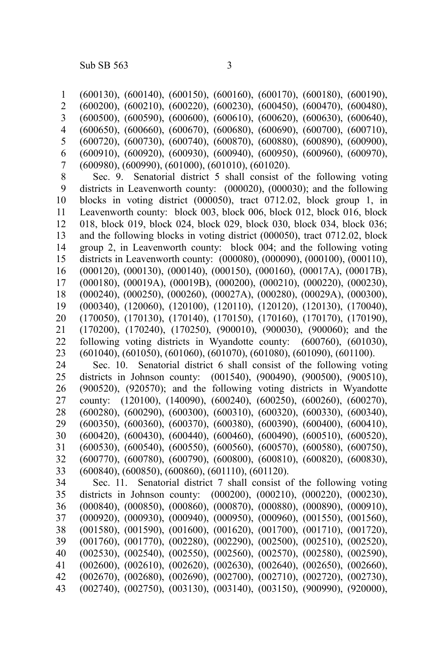(600130), (600140), (600150), (600160), (600170), (600180), (600190), (600200), (600210), (600220), (600230), (600450), (600470), (600480), (600500), (600590), (600600), (600610), (600620), (600630), (600640), (600650), (600660), (600670), (600680), (600690), (600700), (600710), (600720), (600730), (600740), (600870), (600880), (600890), (600900), (600910), (600920), (600930), (600940), (600950), (600960), (600970), (600980), (600990), (601000), (601010), (601020). Sec. 9. Senatorial district 5 shall consist of the following voting districts in Leavenworth county: (000020), (000030); and the following blocks in voting district (000050), tract 0712.02, block group 1, in Leavenworth county: block 003, block 006, block 012, block 016, block 018, block 019, block 024, block 029, block 030, block 034, block 036; and the following blocks in voting district (000050), tract 0712.02, block group 2, in Leavenworth county: block 004; and the following voting districts in Leavenworth county: (000080), (000090), (000100), (000110), (000120), (000130), (000140), (000150), (000160), (00017A), (00017B), (000180), (00019A), (00019B), (000200), (000210), (000220), (000230), (000240), (000250), (000260), (00027A), (000280), (00029A), (000300), (000340), (120060), (120100), (120110), (120120), (120130), (170040), (170050), (170130), (170140), (170150), (170160), (170170), (170190), (170200), (170240), (170250), (900010), (900030), (900060); and the following voting districts in Wyandotte county: (600760), (601030), (601040), (601050), (601060), (601070), (601080), (601090), (601100). Sec. 10. Senatorial district 6 shall consist of the following voting districts in Johnson county: (001540), (900490), (900500), (900510), (900520), (920570); and the following voting districts in Wyandotte county: (120100), (140090), (600240), (600250), (600260), (600270), (600280), (600290), (600300), (600310), (600320), (600330), (600340), (600350), (600360), (600370), (600380), (600390), (600400), (600410), (600420), (600430), (600440), (600460), (600490), (600510), (600520), (600530), (600540), (600550), (600560), (600570), (600580), (600750), (600770), (600780), (600790), (600800), (600810), (600820), (600830), (600840), (600850), (600860), (601110), (601120). Sec. 11. Senatorial district 7 shall consist of the following voting districts in Johnson county: (000200), (000210), (000220), (000230), (000840), (000850), (000860), (000870), (000880), (000890), (000910), (000920), (000930), (000940), (000950), (000960), (001550), (001560), (001580), (001590), (001600), (001620), (001700), (001710), (001720), (001760), (001770), (002280), (002290), (002500), (002510), (002520), (002530), (002540), (002550), (002560), (002570), (002580), (002590), (002600), (002610), (002620), (002630), (002640), (002650), (002660), (002670), (002680), (002690), (002700), (002710), (002720), (002730), (002740), (002750), (003130), (003140), (003150), (900990), (920000), 1 2 3 4 5 6 7 8 9 10 11 12 13 14 15 16 17 18 19 20 21 22 23 24 25 26 27 28 29 30 31 32 33 34 35 36 37 38 39 40 41 42 43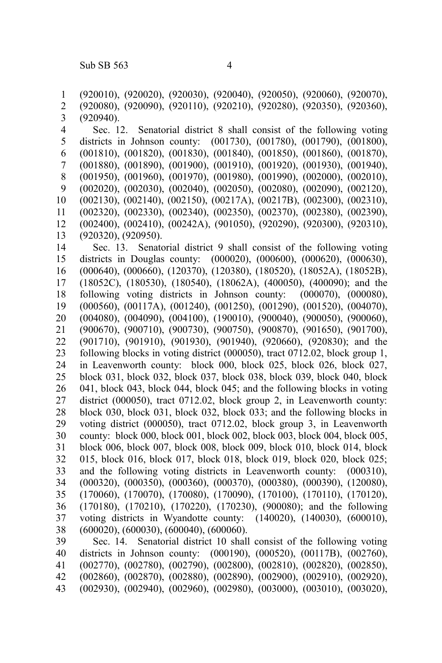(920010), (920020), (920030), (920040), (920050), (920060), (920070), (920080), (920090), (920110), (920210), (920280), (920350), (920360), (920940). Sec. 12. Senatorial district 8 shall consist of the following voting districts in Johnson county: (001730), (001780), (001790), (001800), (001810), (001820), (001830), (001840), (001850), (001860), (001870), (001880), (001890), (001900), (001910), (001920), (001930), (001940), (001950), (001960), (001970), (001980), (001990), (002000), (002010), (002020), (002030), (002040), (002050), (002080), (002090), (002120), (002130), (002140), (002150), (00217A), (00217B), (002300), (002310), (002320), (002330), (002340), (002350), (002370), (002380), (002390), (002400), (002410), (00242A), (901050), (920290), (920300), (920310), (920320), (920950). Sec. 13. Senatorial district 9 shall consist of the following voting districts in Douglas county: (000020), (000600), (000620), (000630), (000640), (000660), (120370), (120380), (180520), (18052A), (18052B), (18052C), (180530), (180540), (18062A), (400050), (400090); and the following voting districts in Johnson county: (000070), (000080), (000560), (00117A), (001240), (001250), (001290), (001520), (004070), (004080), (004090), (004100), (190010), (900040), (900050), (900060), (900670), (900710), (900730), (900750), (900870), (901650), (901700), (901710), (901910), (901930), (901940), (920660), (920830); and the following blocks in voting district (000050), tract 0712.02, block group 1, in Leavenworth county: block 000, block 025, block 026, block 027, block 031, block 032, block 037, block 038, block 039, block 040, block 041, block 043, block 044, block 045; and the following blocks in voting district (000050), tract 0712.02, block group 2, in Leavenworth county: block 030, block 031, block 032, block 033; and the following blocks in voting district (000050), tract 0712.02, block group 3, in Leavenworth county: block 000, block 001, block 002, block 003, block 004, block 005, block 006, block 007, block 008, block 009, block 010, block 014, block 015, block 016, block 017, block 018, block 019, block 020, block 025; and the following voting districts in Leavenworth county: (000310), (000320), (000350), (000360), (000370), (000380), (000390), (120080), (170060), (170070), (170080), (170090), (170100), (170110), (170120), (170180), (170210), (170220), (170230), (900080); and the following voting districts in Wyandotte county: (140020), (140030), (600010), (600020), (600030), (600040), (600060). Sec. 14. Senatorial district 10 shall consist of the following voting districts in Johnson county: (000190), (000520), (00117B), (002760), (002770), (002780), (002790), (002800), (002810), (002820), (002850), (002860), (002870), (002880), (002890), (002900), (002910), (002920), 1 2 3 4 5 6 7 8 9 10 11 12 13 14 15 16 17 18 19 20 21 22 23 24 25 26 27 28 29 30 31 32 33 34 35 36 37 38 39 40 41 42

(002930), (002940), (002960), (002980), (003000), (003010), (003020), 43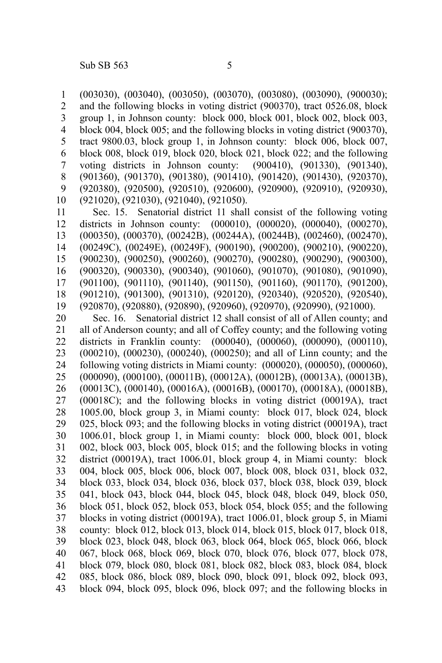(003030), (003040), (003050), (003070), (003080), (003090), (900030); and the following blocks in voting district (900370), tract 0526.08, block group 1, in Johnson county: block 000, block 001, block 002, block 003, block 004, block 005; and the following blocks in voting district (900370), tract 9800.03, block group 1, in Johnson county: block 006, block 007, block 008, block 019, block 020, block 021, block 022; and the following voting districts in Johnson county: (900410), (901330), (901340), (901360), (901370), (901380), (901410), (901420), (901430), (920370), (920380), (920500), (920510), (920600), (920900), (920910), (920930), (921020), (921030), (921040), (921050). 1 2 3 4 5 6 7 8 9 10

Sec. 15. Senatorial district 11 shall consist of the following voting districts in Johnson county: (000010), (000020), (000040), (000270), (000350), (000370), (00242B), (00244A), (00244B), (002460), (002470), (00249C), (00249E), (00249F), (900190), (900200), (900210), (900220), (900230), (900250), (900260), (900270), (900280), (900290), (900300), (900320), (900330), (900340), (901060), (901070), (901080), (901090), (901100), (901110), (901140), (901150), (901160), (901170), (901200), (901210), (901300), (901310), (920120), (920340), (920520), (920540), (920870), (920880), (920890), (920960), (920970), (920990), (921000). 11 12 13 14 15 16 17 18 19

Sec. 16. Senatorial district 12 shall consist of all of Allen county; and all of Anderson county; and all of Coffey county; and the following voting districts in Franklin county: (000040), (000060), (000090), (000110), (000210), (000230), (000240), (000250); and all of Linn county; and the following voting districts in Miami county: (000020), (000050), (000060), (000090), (000100), (00011B), (00012A), (00012B), (00013A), (00013B), (00013C), (000140), (00016A), (00016B), (000170), (00018A), (00018B), (00018C); and the following blocks in voting district (00019A), tract 1005.00, block group 3, in Miami county: block 017, block 024, block 025, block 093; and the following blocks in voting district (00019A), tract 1006.01, block group 1, in Miami county: block 000, block 001, block 002, block 003, block 005, block 015; and the following blocks in voting district (00019A), tract 1006.01, block group 4, in Miami county: block 004, block 005, block 006, block 007, block 008, block 031, block 032, block 033, block 034, block 036, block 037, block 038, block 039, block 041, block 043, block 044, block 045, block 048, block 049, block 050, block 051, block 052, block 053, block 054, block 055; and the following blocks in voting district (00019A), tract 1006.01, block group 5, in Miami county: block 012, block 013, block 014, block 015, block 017, block 018, block 023, block 048, block 063, block 064, block 065, block 066, block 067, block 068, block 069, block 070, block 076, block 077, block 078, block 079, block 080, block 081, block 082, block 083, block 084, block 085, block 086, block 089, block 090, block 091, block 092, block 093, block 094, block 095, block 096, block 097; and the following blocks in 20 21 22 23 24 25 26 27 28 29 30 31 32 33 34 35 36 37 38 39 40 41 42 43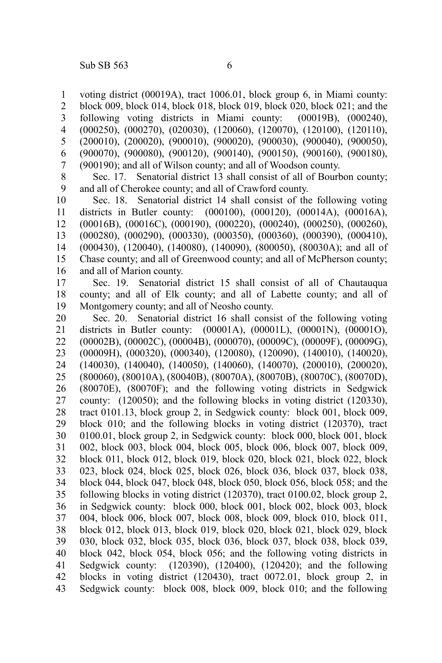voting district (00019A), tract 1006.01, block group 6, in Miami county: block 009, block 014, block 018, block 019, block 020, block 021; and the following voting districts in Miami county: (00019B), (000240), (000250), (000270), (020030), (120060), (120070), (120100), (120110), (200010), (200020), (900010), (900020), (900030), (900040), (900050), (900070), (900080), (900120), (900140), (900150), (900160), (900180), (900190); and all of Wilson county; and all of Woodson county. 1 2 3 4 5 6 7

Sec. 17. Senatorial district 13 shall consist of all of Bourbon county; and all of Cherokee county; and all of Crawford county. 8 9

Sec. 18. Senatorial district 14 shall consist of the following voting districts in Butler county: (000100), (000120), (00014A), (00016A), (00016B), (00016C), (000190), (000220), (000240), (000250), (000260), (000280), (000290), (000330), (000350), (000360), (000390), (000410), (000430), (120040), (140080), (140090), (800050), (80030A); and all of Chase county; and all of Greenwood county; and all of McPherson county; and all of Marion county. 10 11 12 13 14 15 16

Sec. 19. Senatorial district 15 shall consist of all of Chautauqua county; and all of Elk county; and all of Labette county; and all of Montgomery county; and all of Neosho county. 17 18 19

Sec. 20. Senatorial district 16 shall consist of the following voting districts in Butler county: (00001A), (00001L), (00001N), (00001O), (00002B), (00002C), (00004B), (000070), (00009C), (00009F), (00009G), (00009H), (000320), (000340), (120080), (120090), (140010), (140020), (140030), (140040), (140050), (140060), (140070), (200010), (200020), (800060), (80010A), (80040B), (80070A), (80070B), (80070C), (80070D), (80070E), (80070F); and the following voting districts in Sedgwick county: (120050); and the following blocks in voting district (120330), tract 0101.13, block group 2, in Sedgwick county: block 001, block 009, block 010; and the following blocks in voting district (120370), tract 0100.01, block group 2, in Sedgwick county: block 000, block 001, block 002, block 003, block 004, block 005, block 006, block 007, block 009, block 011, block 012, block 019, block 020, block 021, block 022, block 023, block 024, block 025, block 026, block 036, block 037, block 038, block 044, block 047, block 048, block 050, block 056, block 058; and the following blocks in voting district (120370), tract 0100.02, block group 2, in Sedgwick county: block 000, block 001, block 002, block 003, block 004, block 006, block 007, block 008, block 009, block 010, block 011, block 012, block 013, block 019, block 020, block 021, block 029, block 030, block 032, block 035, block 036, block 037, block 038, block 039, block 042, block 054, block 056; and the following voting districts in Sedgwick county: (120390), (120400), (120420); and the following blocks in voting district (120430), tract 0072.01, block group 2, in Sedgwick county: block 008, block 009, block 010; and the following 20 21 22 23 24 25 26 27 28 29 30 31 32 33 34 35 36 37 38 39 40 41 42 43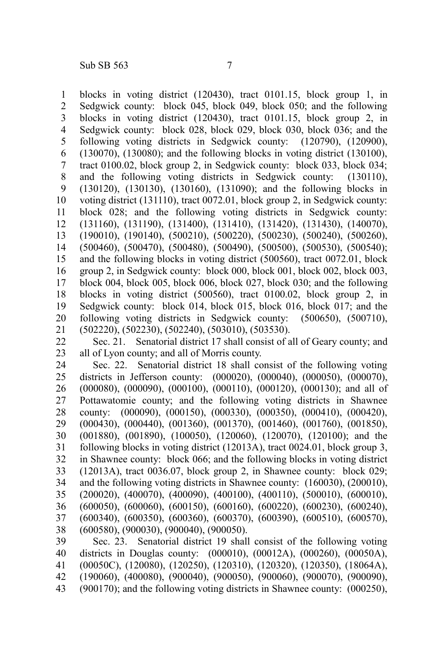blocks in voting district (120430), tract 0101.15, block group 1, in Sedgwick county: block 045, block 049, block 050; and the following blocks in voting district (120430), tract 0101.15, block group 2, in Sedgwick county: block 028, block 029, block 030, block 036; and the following voting districts in Sedgwick county: (120790), (120900), (130070), (130080); and the following blocks in voting district (130100), tract 0100.02, block group 2, in Sedgwick county: block 033, block 034; and the following voting districts in Sedgwick county: (130110), (130120), (130130), (130160), (131090); and the following blocks in voting district (131110), tract 0072.01, block group 2, in Sedgwick county: block 028; and the following voting districts in Sedgwick county: (131160), (131190), (131400), (131410), (131420), (131430), (140070), (190010), (190140), (500210), (500220), (500230), (500240), (500260), (500460), (500470), (500480), (500490), (500500), (500530), (500540); and the following blocks in voting district (500560), tract 0072.01, block group 2, in Sedgwick county: block 000, block 001, block 002, block 003, block 004, block 005, block 006, block 027, block 030; and the following blocks in voting district (500560), tract 0100.02, block group 2, in Sedgwick county: block 014, block 015, block 016, block 017; and the following voting districts in Sedgwick county: (500650), (500710), (502220), (502230), (502240), (503010), (503530). 1 2 3 4 5 6 7 8 9 10 11 12 13 14 15 16 17 18 19 20 21

Sec. 21. Senatorial district 17 shall consist of all of Geary county; and all of Lyon county; and all of Morris county. 22 23

Sec. 22. Senatorial district 18 shall consist of the following voting districts in Jefferson county: (000020), (000040), (000050), (000070), (000080), (000090), (000100), (000110), (000120), (000130); and all of Pottawatomie county; and the following voting districts in Shawnee county: (000090), (000150), (000330), (000350), (000410), (000420), (000430), (000440), (001360), (001370), (001460), (001760), (001850), (001880), (001890), (100050), (120060), (120070), (120100); and the following blocks in voting district (12013A), tract 0024.01, block group 3, in Shawnee county: block 066; and the following blocks in voting district (12013A), tract 0036.07, block group 2, in Shawnee county: block 029; and the following voting districts in Shawnee county: (160030), (200010), (200020), (400070), (400090), (400100), (400110), (500010), (600010), (600050), (600060), (600150), (600160), (600220), (600230), (600240), (600340), (600350), (600360), (600370), (600390), (600510), (600570), (600580), (900030), (900040), (900050). Sec. 23. Senatorial district 19 shall consist of the following voting 24 25 26 27 28 29 30 31 32 33 34 35 36 37 38 39

districts in Douglas county: (000010), (00012A), (000260), (00050A), (00050C), (120080), (120250), (120310), (120320), (120350), (18064A), (190060), (400080), (900040), (900050), (900060), (900070), (900090), (900170); and the following voting districts in Shawnee county: (000250), 40 41 42 43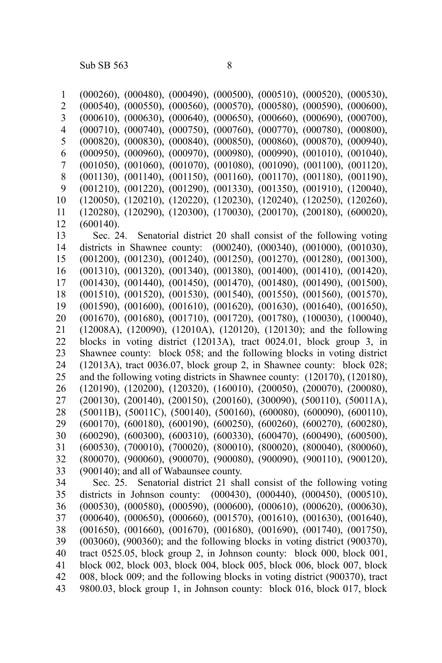(000260), (000480), (000490), (000500), (000510), (000520), (000530), (000540), (000550), (000560), (000570), (000580), (000590), (000600), (000610), (000630), (000640), (000650), (000660), (000690), (000700), (000710), (000740), (000750), (000760), (000770), (000780), (000800), (000820), (000830), (000840), (000850), (000860), (000870), (000940), (000950), (000960), (000970), (000980), (000990), (001010), (001040), (001050), (001060), (001070), (001080), (001090), (001100), (001120), (001130), (001140), (001150), (001160), (001170), (001180), (001190), (001210), (001220), (001290), (001330), (001350), (001910), (120040), (120050), (120210), (120220), (120230), (120240), (120250), (120260), (120280), (120290), (120300), (170030), (200170), (200180), (600020), (600140). Sec. 24. Senatorial district 20 shall consist of the following voting districts in Shawnee county: (000240), (000340), (001000), (001030), (001200), (001230), (001240), (001250), (001270), (001280), (001300), (001310), (001320), (001340), (001380), (001400), (001410), (001420), (001430), (001440), (001450), (001470), (001480), (001490), (001500), (001510), (001520), (001530), (001540), (001550), (001560), (001570), (001590), (001600), (001610), (001620), (001630), (001640), (001650), (001670), (001680), (001710), (001720), (001780), (100030), (100040), (12008A), (120090), (12010A), (120120), (120130); and the following blocks in voting district (12013A), tract 0024.01, block group 3, in Shawnee county: block 058; and the following blocks in voting district (12013A), tract 0036.07, block group 2, in Shawnee county: block 028; and the following voting districts in Shawnee county: (120170), (120180), (120190), (120200), (120320), (160010), (200050), (200070), (200080), (200130), (200140), (200150), (200160), (300090), (500110), (50011A), (50011B), (50011C), (500140), (500160), (600080), (600090), (600110), (600170), (600180), (600190), (600250), (600260), (600270), (600280), (600290), (600300), (600310), (600330), (600470), (600490), (600500), (600530), (700010), (700020), (800010), (800020), (800040), (800060), (800070), (900060), (900070), (900080), (900090), (900110), (900120), (900140); and all of Wabaunsee county. Sec. 25. Senatorial district 21 shall consist of the following voting districts in Johnson county: (000430), (000440), (000450), (000510), (000530), (000580), (000590), (000600), (000610), (000620), (000630), (000640), (000650), (000660), (001570), (001610), (001630), (001640), (001650), (001660), (001670), (001680), (001690), (001740), (001750), (003060), (900360); and the following blocks in voting district (900370), tract 0525.05, block group 2, in Johnson county: block 000, block 001, block 002, block 003, block 004, block 005, block 006, block 007, block 1 2 3 4 5 6 7 8 9 10 11 12 13 14 15 16 17 18 19 20 21 22 23 24 25 26 27 28 29 30 31 32 33 34 35 36 37 38 39 40 41 42

008, block 009; and the following blocks in voting district (900370), tract 9800.03, block group 1, in Johnson county: block 016, block 017, block 43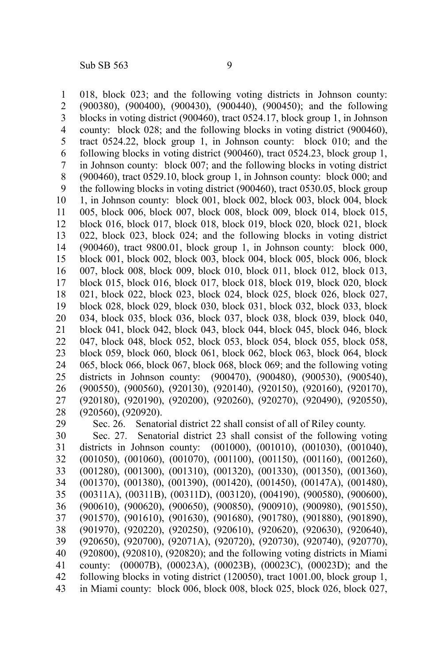018, block 023; and the following voting districts in Johnson county: (900380), (900400), (900430), (900440), (900450); and the following blocks in voting district (900460), tract 0524.17, block group 1, in Johnson county: block 028; and the following blocks in voting district (900460), tract 0524.22, block group 1, in Johnson county: block 010; and the following blocks in voting district (900460), tract 0524.23, block group 1, in Johnson county: block 007; and the following blocks in voting district (900460), tract 0529.10, block group 1, in Johnson county: block 000; and the following blocks in voting district (900460), tract 0530.05, block group 1, in Johnson county: block 001, block 002, block 003, block 004, block 005, block 006, block 007, block 008, block 009, block 014, block 015, block 016, block 017, block 018, block 019, block 020, block 021, block 022, block 023, block 024; and the following blocks in voting district (900460), tract 9800.01, block group 1, in Johnson county: block 000, block 001, block 002, block 003, block 004, block 005, block 006, block 007, block 008, block 009, block 010, block 011, block 012, block 013, block 015, block 016, block 017, block 018, block 019, block 020, block 021, block 022, block 023, block 024, block 025, block 026, block 027, block 028, block 029, block 030, block 031, block 032, block 033, block 034, block 035, block 036, block 037, block 038, block 039, block 040, block 041, block 042, block 043, block 044, block 045, block 046, block 047, block 048, block 052, block 053, block 054, block 055, block 058, block 059, block 060, block 061, block 062, block 063, block 064, block 065, block 066, block 067, block 068, block 069; and the following voting districts in Johnson county: (900470), (900480), (900530), (900540), (900550), (900560), (920130), (920140), (920150), (920160), (920170), (920180), (920190), (920200), (920260), (920270), (920490), (920550), (920560), (920920). Sec. 26. Senatorial district 22 shall consist of all of Riley county. 1 2 3 4 5 6 7 8 9 10 11 12 13 14 15 16 17 18 19 20 21 22 23 24 25 26 27 28 29

Sec. 27. Senatorial district 23 shall consist of the following voting districts in Johnson county: (001000), (001010), (001030), (001040), (001050), (001060), (001070), (001100), (001150), (001160), (001260), (001280), (001300), (001310), (001320), (001330), (001350), (001360), (001370), (001380), (001390), (001420), (001450), (00147A), (001480), (00311A), (00311B), (00311D), (003120), (004190), (900580), (900600), (900610), (900620), (900650), (900850), (900910), (900980), (901550), (901570), (901610), (901630), (901680), (901780), (901880), (901890), (901970), (920220), (920250), (920610), (920620), (920630), (920640), (920650), (920700), (92071A), (920720), (920730), (920740), (920770), (920800), (920810), (920820); and the following voting districts in Miami county: (00007B), (00023A), (00023B), (00023C), (00023D); and the following blocks in voting district (120050), tract 1001.00, block group 1, in Miami county: block 006, block 008, block 025, block 026, block 027, 30 31 32 33 34 35 36 37 38 39 40 41 42 43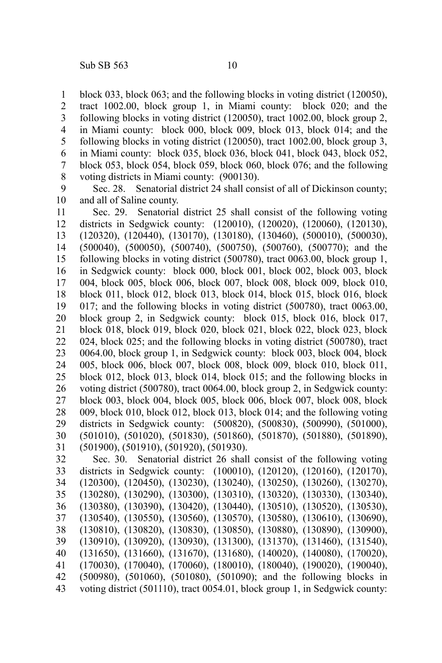block 033, block 063; and the following blocks in voting district (120050), tract 1002.00, block group 1, in Miami county: block 020; and the following blocks in voting district (120050), tract 1002.00, block group 2, in Miami county: block 000, block 009, block 013, block 014; and the following blocks in voting district (120050), tract 1002.00, block group 3, in Miami county: block 035, block 036, block 041, block 043, block 052, block 053, block 054, block 059, block 060, block 076; and the following voting districts in Miami county: (900130). 1 2 3 4 5 6 7 8

Sec. 28. Senatorial district 24 shall consist of all of Dickinson county; and all of Saline county. 9 10

Sec. 29. Senatorial district 25 shall consist of the following voting districts in Sedgwick county: (120010), (120020), (120060), (120130), (120320), (120440), (130170), (130180), (130460), (500010), (500030), (500040), (500050), (500740), (500750), (500760), (500770); and the following blocks in voting district (500780), tract 0063.00, block group 1, in Sedgwick county: block 000, block 001, block 002, block 003, block 004, block 005, block 006, block 007, block 008, block 009, block 010, block 011, block 012, block 013, block 014, block 015, block 016, block 017; and the following blocks in voting district (500780), tract 0063.00, block group 2, in Sedgwick county: block 015, block 016, block 017, block 018, block 019, block 020, block 021, block 022, block 023, block 024, block 025; and the following blocks in voting district (500780), tract 0064.00, block group 1, in Sedgwick county: block 003, block 004, block 005, block 006, block 007, block 008, block 009, block 010, block 011, block 012, block 013, block 014, block 015; and the following blocks in voting district (500780), tract 0064.00, block group 2, in Sedgwick county: block 003, block 004, block 005, block 006, block 007, block 008, block 009, block 010, block 012, block 013, block 014; and the following voting districts in Sedgwick county: (500820), (500830), (500990), (501000), (501010), (501020), (501830), (501860), (501870), (501880), (501890), (501900), (501910), (501920), (501930). 11 12 13 14 15 16 17 18 19 20 21 22 23 24 25 26 27 28 29 30 31

Sec. 30. Senatorial district 26 shall consist of the following voting districts in Sedgwick county: (100010), (120120), (120160), (120170), (120300), (120450), (130230), (130240), (130250), (130260), (130270), (130280), (130290), (130300), (130310), (130320), (130330), (130340), (130380), (130390), (130420), (130440), (130510), (130520), (130530), (130540), (130550), (130560), (130570), (130580), (130610), (130690), (130810), (130820), (130830), (130850), (130880), (130890), (130900), (130910), (130920), (130930), (131300), (131370), (131460), (131540), (131650), (131660), (131670), (131680), (140020), (140080), (170020), (170030), (170040), (170060), (180010), (180040), (190020), (190040), (500980), (501060), (501080), (501090); and the following blocks in voting district (501110), tract 0054.01, block group 1, in Sedgwick county: 32 33 34 35 36 37 38 39 40 41 42 43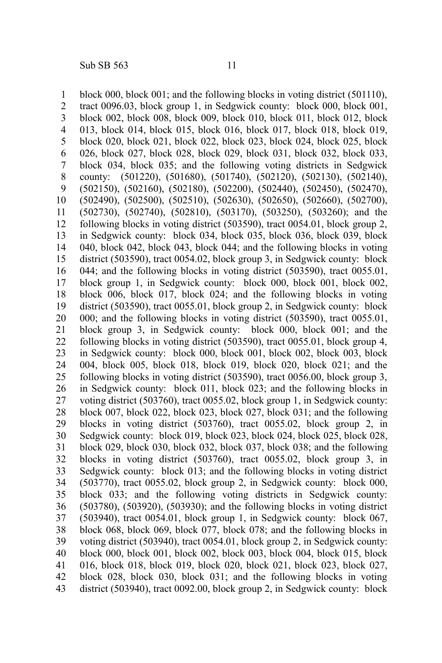block 000, block 001; and the following blocks in voting district (501110), tract 0096.03, block group 1, in Sedgwick county: block 000, block 001, block 002, block 008, block 009, block 010, block 011, block 012, block 013, block 014, block 015, block 016, block 017, block 018, block 019, block 020, block 021, block 022, block 023, block 024, block 025, block 026, block 027, block 028, block 029, block 031, block 032, block 033, block 034, block 035; and the following voting districts in Sedgwick county: (501220), (501680), (501740), (502120), (502130), (502140), (502150), (502160), (502180), (502200), (502440), (502450), (502470), (502490), (502500), (502510), (502630), (502650), (502660), (502700), (502730), (502740), (502810), (503170), (503250), (503260); and the following blocks in voting district (503590), tract 0054.01, block group 2, in Sedgwick county: block 034, block 035, block 036, block 039, block 040, block 042, block 043, block 044; and the following blocks in voting district (503590), tract 0054.02, block group 3, in Sedgwick county: block 044; and the following blocks in voting district (503590), tract 0055.01, block group 1, in Sedgwick county: block 000, block 001, block 002, block 006, block 017, block 024; and the following blocks in voting district (503590), tract 0055.01, block group 2, in Sedgwick county: block 000; and the following blocks in voting district (503590), tract 0055.01, block group 3, in Sedgwick county: block 000, block 001; and the following blocks in voting district (503590), tract 0055.01, block group 4, in Sedgwick county: block 000, block 001, block 002, block 003, block 004, block 005, block 018, block 019, block 020, block 021; and the following blocks in voting district (503590), tract 0056.00, block group 3, in Sedgwick county: block 011, block 023; and the following blocks in voting district (503760), tract 0055.02, block group 1, in Sedgwick county: block 007, block 022, block 023, block 027, block 031; and the following blocks in voting district (503760), tract 0055.02, block group 2, in Sedgwick county: block 019, block 023, block 024, block 025, block 028, block 029, block 030, block 032, block 037, block 038; and the following blocks in voting district (503760), tract 0055.02, block group 3, in Sedgwick county: block 013; and the following blocks in voting district (503770), tract 0055.02, block group 2, in Sedgwick county: block 000, block 033; and the following voting districts in Sedgwick county: (503780), (503920), (503930); and the following blocks in voting district (503940), tract 0054.01, block group 1, in Sedgwick county: block 067, block 068, block 069, block 077, block 078; and the following blocks in voting district (503940), tract 0054.01, block group 2, in Sedgwick county: block 000, block 001, block 002, block 003, block 004, block 015, block 016, block 018, block 019, block 020, block 021, block 023, block 027, block 028, block 030, block 031; and the following blocks in voting district (503940), tract 0092.00, block group 2, in Sedgwick county: block 1 2 3 4 5 6 7 8 9 10 11 12 13 14 15 16 17 18 19 20 21 22 23 24 25 26 27 28 29 30 31 32 33 34 35 36 37 38 39 40 41 42 43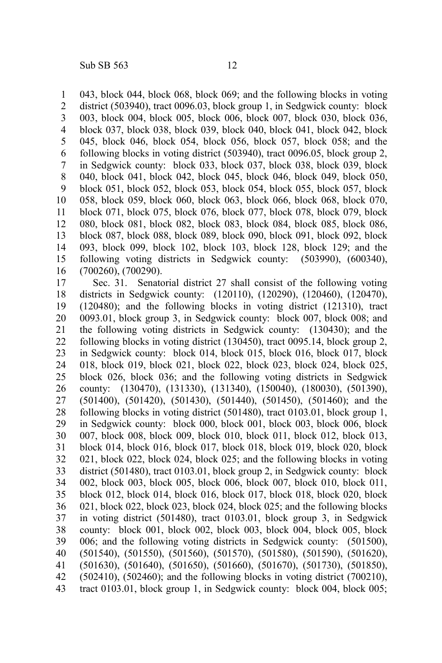043, block 044, block 068, block 069; and the following blocks in voting district (503940), tract 0096.03, block group 1, in Sedgwick county: block 003, block 004, block 005, block 006, block 007, block 030, block 036, block 037, block 038, block 039, block 040, block 041, block 042, block 045, block 046, block 054, block 056, block 057, block 058; and the following blocks in voting district (503940), tract 0096.05, block group 2, in Sedgwick county: block 033, block 037, block 038, block 039, block 040, block 041, block 042, block 045, block 046, block 049, block 050, block 051, block 052, block 053, block 054, block 055, block 057, block 058, block 059, block 060, block 063, block 066, block 068, block 070, block 071, block 075, block 076, block 077, block 078, block 079, block 080, block 081, block 082, block 083, block 084, block 085, block 086, block 087, block 088, block 089, block 090, block 091, block 092, block 093, block 099, block 102, block 103, block 128, block 129; and the following voting districts in Sedgwick county: (503990), (600340), (700260), (700290). 1 2 3 4 5 6 7 8 9 10 11 12 13 14 15 16

Sec. 31. Senatorial district 27 shall consist of the following voting districts in Sedgwick county: (120110), (120290), (120460), (120470), (120480); and the following blocks in voting district (121310), tract 0093.01, block group 3, in Sedgwick county: block 007, block 008; and the following voting districts in Sedgwick county: (130430); and the following blocks in voting district (130450), tract 0095.14, block group 2, in Sedgwick county: block 014, block 015, block 016, block 017, block 018, block 019, block 021, block 022, block 023, block 024, block 025, block 026, block 036; and the following voting districts in Sedgwick county: (130470), (131330), (131340), (150040), (180030), (501390), (501400), (501420), (501430), (501440), (501450), (501460); and the following blocks in voting district (501480), tract 0103.01, block group 1, in Sedgwick county: block 000, block 001, block 003, block 006, block 007, block 008, block 009, block 010, block 011, block 012, block 013, block 014, block 016, block 017, block 018, block 019, block 020, block 021, block 022, block 024, block 025; and the following blocks in voting district (501480), tract 0103.01, block group 2, in Sedgwick county: block 002, block 003, block 005, block 006, block 007, block 010, block 011, block 012, block 014, block 016, block 017, block 018, block 020, block 021, block 022, block 023, block 024, block 025; and the following blocks in voting district (501480), tract 0103.01, block group 3, in Sedgwick county: block 001, block 002, block 003, block 004, block 005, block 006; and the following voting districts in Sedgwick county: (501500), (501540), (501550), (501560), (501570), (501580), (501590), (501620), (501630), (501640), (501650), (501660), (501670), (501730), (501850),  $(502410)$ ,  $(502460)$ ; and the following blocks in voting district  $(700210)$ , tract 0103.01, block group 1, in Sedgwick county: block 004, block 005; 17 18 19 20 21 22 23 24 25 26 27 28 29 30 31 32 33 34 35 36 37 38 39 40 41 42 43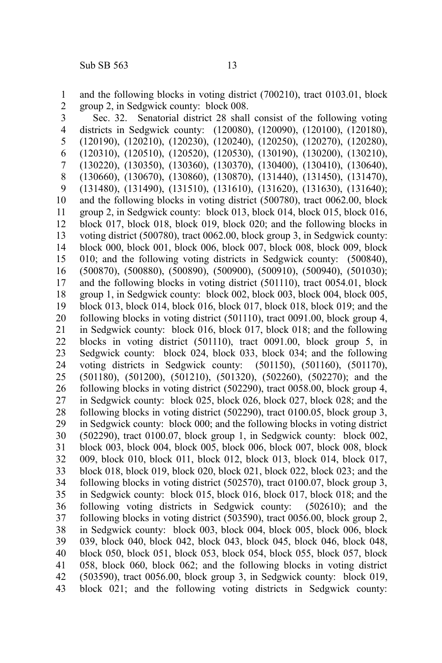and the following blocks in voting district (700210), tract 0103.01, block group 2, in Sedgwick county: block 008. 1 2

Sec. 32. Senatorial district 28 shall consist of the following voting districts in Sedgwick county: (120080), (120090), (120100), (120180), (120190), (120210), (120230), (120240), (120250), (120270), (120280), (120310), (120510), (120520), (120530), (130190), (130200), (130210), (130220), (130350), (130360), (130370), (130400), (130410), (130640), (130660), (130670), (130860), (130870), (131440), (131450), (131470), (131480), (131490), (131510), (131610), (131620), (131630), (131640); and the following blocks in voting district (500780), tract 0062.00, block group 2, in Sedgwick county: block 013, block 014, block 015, block 016, block 017, block 018, block 019, block 020; and the following blocks in voting district (500780), tract 0062.00, block group 3, in Sedgwick county: block 000, block 001, block 006, block 007, block 008, block 009, block 010; and the following voting districts in Sedgwick county: (500840), (500870), (500880), (500890), (500900), (500910), (500940), (501030); and the following blocks in voting district (501110), tract 0054.01, block group 1, in Sedgwick county: block 002, block 003, block 004, block 005, block 013, block 014, block 016, block 017, block 018, block 019; and the following blocks in voting district (501110), tract 0091.00, block group 4, in Sedgwick county: block 016, block 017, block 018; and the following blocks in voting district (501110), tract 0091.00, block group 5, in Sedgwick county: block 024, block 033, block 034; and the following voting districts in Sedgwick county: (501150), (501160), (501170), (501180), (501200), (501210), (501320), (502260), (502270); and the following blocks in voting district (502290), tract 0058.00, block group 4, in Sedgwick county: block 025, block 026, block 027, block 028; and the following blocks in voting district (502290), tract 0100.05, block group 3, in Sedgwick county: block 000; and the following blocks in voting district (502290), tract 0100.07, block group 1, in Sedgwick county: block 002, block 003, block 004, block 005, block 006, block 007, block 008, block 009, block 010, block 011, block 012, block 013, block 014, block 017, block 018, block 019, block 020, block 021, block 022, block 023; and the following blocks in voting district (502570), tract 0100.07, block group 3, in Sedgwick county: block 015, block 016, block 017, block 018; and the following voting districts in Sedgwick county: (502610); and the following blocks in voting district (503590), tract 0056.00, block group 2, in Sedgwick county: block 003, block 004, block 005, block 006, block 039, block 040, block 042, block 043, block 045, block 046, block 048, block 050, block 051, block 053, block 054, block 055, block 057, block 058, block 060, block 062; and the following blocks in voting district (503590), tract 0056.00, block group 3, in Sedgwick county: block 019, block 021; and the following voting districts in Sedgwick county: 3 4 5 6 7 8 9 10 11 12 13 14 15 16 17 18 19 20 21 22 23 24 25 26 27 28 29 30 31 32 33 34 35 36 37 38 39 40 41 42 43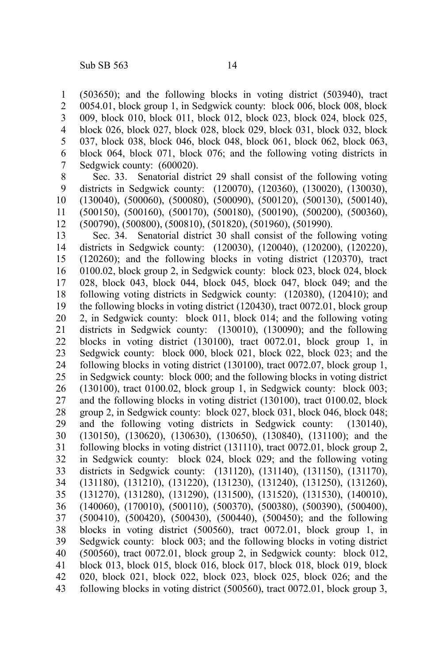(503650); and the following blocks in voting district (503940), tract 0054.01, block group 1, in Sedgwick county: block 006, block 008, block 009, block 010, block 011, block 012, block 023, block 024, block 025, block 026, block 027, block 028, block 029, block 031, block 032, block 037, block 038, block 046, block 048, block 061, block 062, block 063, block 064, block 071, block 076; and the following voting districts in Sedgwick county: (600020). 1 2 3 4 5 6 7

Sec. 33. Senatorial district 29 shall consist of the following voting districts in Sedgwick county: (120070), (120360), (130020), (130030), (130040), (500060), (500080), (500090), (500120), (500130), (500140), (500150), (500160), (500170), (500180), (500190), (500200), (500360), (500790), (500800), (500810), (501820), (501960), (501990). 8 9 10 11 12

Sec. 34. Senatorial district 30 shall consist of the following voting districts in Sedgwick county: (120030), (120040), (120200), (120220), (120260); and the following blocks in voting district (120370), tract 0100.02, block group 2, in Sedgwick county: block 023, block 024, block 028, block 043, block 044, block 045, block 047, block 049; and the following voting districts in Sedgwick county: (120380), (120410); and the following blocks in voting district (120430), tract 0072.01, block group 2, in Sedgwick county: block 011, block 014; and the following voting districts in Sedgwick county: (130010), (130090); and the following blocks in voting district (130100), tract 0072.01, block group 1, in Sedgwick county: block 000, block 021, block 022, block 023; and the following blocks in voting district (130100), tract 0072.07, block group 1, in Sedgwick county: block 000; and the following blocks in voting district  $(130100)$ , tract 0100.02, block group 1, in Sedgwick county: block 003; and the following blocks in voting district (130100), tract 0100.02, block group 2, in Sedgwick county: block 027, block 031, block 046, block 048; and the following voting districts in Sedgwick county: (130140), (130150), (130620), (130630), (130650), (130840), (131100); and the following blocks in voting district (131110), tract 0072.01, block group 2, in Sedgwick county: block 024, block 029; and the following voting districts in Sedgwick county: (131120), (131140), (131150), (131170), (131180), (131210), (131220), (131230), (131240), (131250), (131260), (131270), (131280), (131290), (131500), (131520), (131530), (140010), (140060), (170010), (500110), (500370), (500380), (500390), (500400), (500410), (500420), (500430), (500440), (500450); and the following blocks in voting district (500560), tract 0072.01, block group 1, in Sedgwick county: block 003; and the following blocks in voting district (500560), tract 0072.01, block group 2, in Sedgwick county: block 012, block 013, block 015, block 016, block 017, block 018, block 019, block 020, block 021, block 022, block 023, block 025, block 026; and the following blocks in voting district (500560), tract 0072.01, block group 3, 13 14 15 16 17 18 19 20 21 22 23 24 25 26 27 28 29 30 31 32 33 34 35 36 37 38 39 40 41 42 43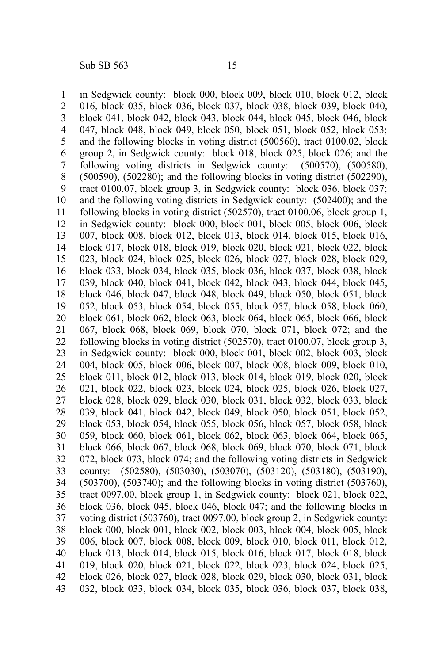in Sedgwick county: block 000, block 009, block 010, block 012, block 016, block 035, block 036, block 037, block 038, block 039, block 040, block 041, block 042, block 043, block 044, block 045, block 046, block 047, block 048, block 049, block 050, block 051, block 052, block 053; and the following blocks in voting district (500560), tract 0100.02, block group 2, in Sedgwick county: block 018, block 025, block 026; and the following voting districts in Sedgwick county: (500570), (500580), (500590), (502280); and the following blocks in voting district (502290), tract 0100.07, block group 3, in Sedgwick county: block 036, block 037; and the following voting districts in Sedgwick county: (502400); and the following blocks in voting district (502570), tract 0100.06, block group 1, in Sedgwick county: block 000, block 001, block 005, block 006, block 007, block 008, block 012, block 013, block 014, block 015, block 016, block 017, block 018, block 019, block 020, block 021, block 022, block 023, block 024, block 025, block 026, block 027, block 028, block 029, block 033, block 034, block 035, block 036, block 037, block 038, block 039, block 040, block 041, block 042, block 043, block 044, block 045, block 046, block 047, block 048, block 049, block 050, block 051, block 052, block 053, block 054, block 055, block 057, block 058, block 060, block 061, block 062, block 063, block 064, block 065, block 066, block 067, block 068, block 069, block 070, block 071, block 072; and the following blocks in voting district (502570), tract 0100.07, block group 3, in Sedgwick county: block 000, block 001, block 002, block 003, block 004, block 005, block 006, block 007, block 008, block 009, block 010, block 011, block 012, block 013, block 014, block 019, block 020, block 021, block 022, block 023, block 024, block 025, block 026, block 027, block 028, block 029, block 030, block 031, block 032, block 033, block 039, block 041, block 042, block 049, block 050, block 051, block 052, block 053, block 054, block 055, block 056, block 057, block 058, block 059, block 060, block 061, block 062, block 063, block 064, block 065, block 066, block 067, block 068, block 069, block 070, block 071, block 072, block 073, block 074; and the following voting districts in Sedgwick county: (502580), (503030), (503070), (503120), (503180), (503190), (503700), (503740); and the following blocks in voting district (503760), tract 0097.00, block group 1, in Sedgwick county: block 021, block 022, block 036, block 045, block 046, block 047; and the following blocks in voting district (503760), tract 0097.00, block group 2, in Sedgwick county: block 000, block 001, block 002, block 003, block 004, block 005, block 006, block 007, block 008, block 009, block 010, block 011, block 012, block 013, block 014, block 015, block 016, block 017, block 018, block 019, block 020, block 021, block 022, block 023, block 024, block 025, block 026, block 027, block 028, block 029, block 030, block 031, block 032, block 033, block 034, block 035, block 036, block 037, block 038, 1 2 3 4 5 6 7 8 9 10 11 12 13 14 15 16 17 18 19 20 21 22 23 24 25 26 27 28 29 30 31 32 33 34 35 36 37 38 39 40 41 42 43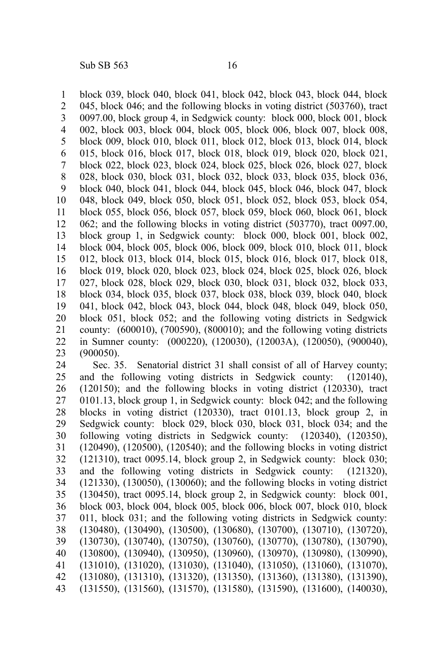block 039, block 040, block 041, block 042, block 043, block 044, block 045, block 046; and the following blocks in voting district (503760), tract 0097.00, block group 4, in Sedgwick county: block 000, block 001, block 002, block 003, block 004, block 005, block 006, block 007, block 008, block 009, block 010, block 011, block 012, block 013, block 014, block 015, block 016, block 017, block 018, block 019, block 020, block 021, block 022, block 023, block 024, block 025, block 026, block 027, block 028, block 030, block 031, block 032, block 033, block 035, block 036, block 040, block 041, block 044, block 045, block 046, block 047, block 048, block 049, block 050, block 051, block 052, block 053, block 054, block 055, block 056, block 057, block 059, block 060, block 061, block 062; and the following blocks in voting district (503770), tract 0097.00, block group 1, in Sedgwick county: block 000, block 001, block 002, block 004, block 005, block 006, block 009, block 010, block 011, block 012, block 013, block 014, block 015, block 016, block 017, block 018, block 019, block 020, block 023, block 024, block 025, block 026, block 027, block 028, block 029, block 030, block 031, block 032, block 033, block 034, block 035, block 037, block 038, block 039, block 040, block 041, block 042, block 043, block 044, block 048, block 049, block 050, block 051, block 052; and the following voting districts in Sedgwick county: (600010), (700590), (800010); and the following voting districts in Sumner county: (000220), (120030), (12003A), (120050), (900040), (900050). 1 2 3 4 5 6 7 8 9 10 11 12 13 14 15 16 17 18 19 20 21 22 23

Sec. 35. Senatorial district 31 shall consist of all of Harvey county; and the following voting districts in Sedgwick county: (120140), (120150); and the following blocks in voting district (120330), tract 0101.13, block group 1, in Sedgwick county: block 042; and the following blocks in voting district (120330), tract 0101.13, block group 2, in Sedgwick county: block 029, block 030, block 031, block 034; and the following voting districts in Sedgwick county: (120340), (120350), (120490), (120500), (120540); and the following blocks in voting district (121310), tract 0095.14, block group 2, in Sedgwick county: block 030; and the following voting districts in Sedgwick county: (121320), (121330), (130050), (130060); and the following blocks in voting district (130450), tract 0095.14, block group 2, in Sedgwick county: block 001, block 003, block 004, block 005, block 006, block 007, block 010, block 011, block 031; and the following voting districts in Sedgwick county: (130480), (130490), (130500), (130680), (130700), (130710), (130720), (130730), (130740), (130750), (130760), (130770), (130780), (130790), (130800), (130940), (130950), (130960), (130970), (130980), (130990), (131010), (131020), (131030), (131040), (131050), (131060), (131070), (131080), (131310), (131320), (131350), (131360), (131380), (131390), (131550), (131560), (131570), (131580), (131590), (131600), (140030), 24 25 26 27 28 29 30 31 32 33 34 35 36 37 38 39 40 41 42 43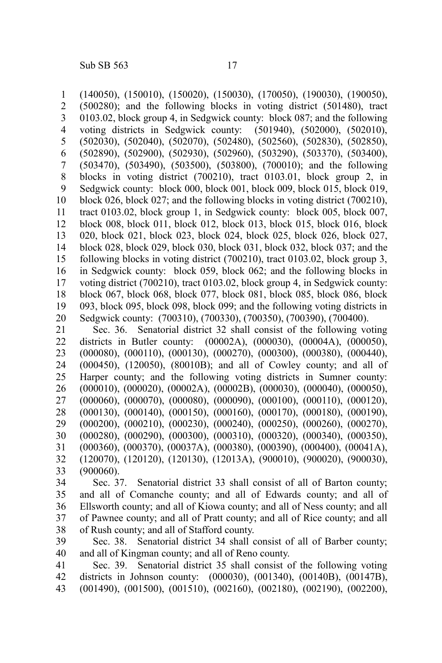(140050), (150010), (150020), (150030), (170050), (190030), (190050), (500280); and the following blocks in voting district (501480), tract 0103.02, block group 4, in Sedgwick county: block 087; and the following voting districts in Sedgwick county: (501940), (502000), (502010), voting districts in Sedgwick county: (502030), (502040), (502070), (502480), (502560), (502830), (502850), (502890), (502900), (502930), (502960), (503290), (503370), (503400), (503470), (503490), (503500), (503800), (700010); and the following blocks in voting district (700210), tract 0103.01, block group 2, in Sedgwick county: block 000, block 001, block 009, block 015, block 019, block 026, block 027; and the following blocks in voting district (700210), tract 0103.02, block group 1, in Sedgwick county: block 005, block 007, block 008, block 011, block 012, block 013, block 015, block 016, block 020, block 021, block 023, block 024, block 025, block 026, block 027, block 028, block 029, block 030, block 031, block 032, block 037; and the following blocks in voting district (700210), tract 0103.02, block group 3, in Sedgwick county: block 059, block 062; and the following blocks in voting district (700210), tract 0103.02, block group 4, in Sedgwick county: block 067, block 068, block 077, block 081, block 085, block 086, block 093, block 095, block 098, block 099; and the following voting districts in Sedgwick county: (700310), (700330), (700350), (700390), (700400). Sec. 36. Senatorial district 32 shall consist of the following voting districts in Butler county: (00002A), (000030), (00004A), (000050), (000080), (000110), (000130), (000270), (000300), (000380), (000440), (000450), (120050), (80010B); and all of Cowley county; and all of Harper county; and the following voting districts in Sumner county: 1 2 3 4 5 6 7 8 9 10 11 12 13 14 15 16 17 18 19 20 21 22 23 24 25

(000010), (000020), (00002A), (00002B), (000030), (000040), (000050), (000060), (000070), (000080), (000090), (000100), (000110), (000120), 26 27

(000130), (000140), (000150), (000160), (000170), (000180), (000190), (000200), (000210), (000230), (000240), (000250), (000260), (000270), 28 29

(000280), (000290), (000300), (000310), (000320), (000340), (000350), 30

(000360), (000370), (00037A), (000380), (000390), (000400), (00041A), (120070), (120120), (120130), (12013A), (900010), (900020), (900030), 31 32

(900060). 33

Sec. 37. Senatorial district 33 shall consist of all of Barton county; and all of Comanche county; and all of Edwards county; and all of Ellsworth county; and all of Kiowa county; and all of Ness county; and all of Pawnee county; and all of Pratt county; and all of Rice county; and all of Rush county; and all of Stafford county. 34 35 36 37 38

Sec. 38. Senatorial district 34 shall consist of all of Barber county; and all of Kingman county; and all of Reno county. 39 40

Sec. 39. Senatorial district 35 shall consist of the following voting districts in Johnson county: (000030), (001340), (00140B), (00147B), (001490), (001500), (001510), (002160), (002180), (002190), (002200), 41 42 43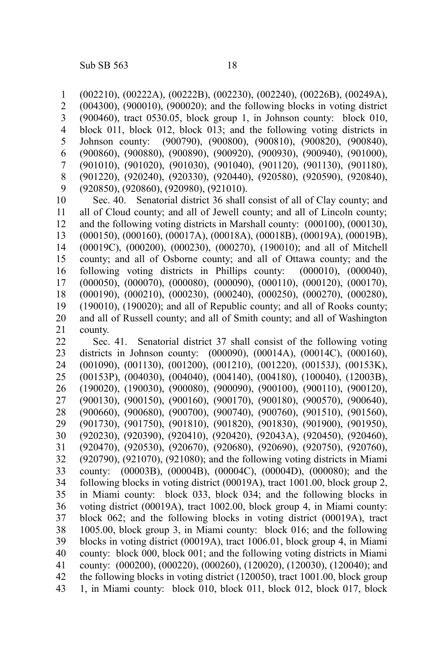(002210), (00222A), (00222B), (002230), (002240), (00226B), (00249A), (004300), (900010), (900020); and the following blocks in voting district (900460), tract 0530.05, block group 1, in Johnson county: block 010, block 011, block 012, block 013; and the following voting districts in Johnson county: (900790), (900800), (900810), (900820), (900840), (900860), (900880), (900890), (900920), (900930), (900940), (901000), (901010), (901020), (901030), (901040), (901120), (901130), (901180), (901220), (920240), (920330), (920440), (920580), (920590), (920840), (920850), (920860), (920980), (921010). Sec. 40. Senatorial district 36 shall consist of all of Clay county; and all of Cloud county; and all of Jewell county; and all of Lincoln county; and the following voting districts in Marshall county: (000100), (000130), (000150), (000160), (00017A), (00018A), (00018B), (00019A), (00019B), (00019C), (000200), (000230), (000270), (190010); and all of Mitchell county; and all of Osborne county; and all of Ottawa county; and the following voting districts in Phillips county: (000010), (000040), (000050), (000070), (000080), (000090), (000110), (000120), (000170), 1 2 3 4 5 6 7 8 9 10 11 12 13 14 15 16 17

(000190), (000210), (000230), (000240), (000250), (000270), (000280), (190010), (190020); and all of Republic county; and all of Rooks county; and all of Russell county; and all of Smith county; and all of Washington county. 18 19 20 21

Sec. 41. Senatorial district 37 shall consist of the following voting districts in Johnson county: (000090), (00014A), (00014C), (000160), (001090), (001130), (001200), (001210), (001220), (00153J), (00153K), (00153P), (004030), (004040), (004140), (004180), (100040), (12003B), (190020), (190030), (900080), (900090), (900100), (900110), (900120), (900130), (900150), (900160), (900170), (900180), (900570), (900640), (900660), (900680), (900700), (900740), (900760), (901510), (901560), (901730), (901750), (901810), (901820), (901830), (901900), (901950), (920230), (920390), (920410), (920420), (92043A), (920450), (920460), (920470), (920530), (920670), (920680), (920690), (920750), (920760), (920790), (921070), (921080); and the following voting districts in Miami county: (00003B), (00004B), (00004C), (00004D), (000080); and the following blocks in voting district (00019A), tract 1001.00, block group 2, in Miami county: block 033, block 034; and the following blocks in voting district (00019A), tract 1002.00, block group 4, in Miami county: block 062; and the following blocks in voting district (00019A), tract 1005.00, block group 3, in Miami county: block 016; and the following blocks in voting district (00019A), tract 1006.01, block group 4, in Miami county: block 000, block 001; and the following voting districts in Miami county: (000200), (000220), (000260), (120020), (120030), (120040); and the following blocks in voting district (120050), tract 1001.00, block group 1, in Miami county: block 010, block 011, block 012, block 017, block 22 23 24 25 26 27 28 29 30 31 32 33 34 35 36 37 38 39 40 41 42 43